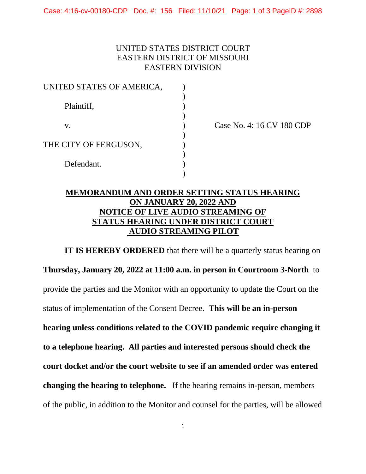## UNITED STATES DISTRICT COURT EASTERN DISTRICT OF MISSOURI EASTERN DIVISION

| UNITED STATES OF AMERICA, |  |
|---------------------------|--|
| Plaintiff,                |  |
| V.                        |  |
| THE CITY OF FERGUSON,     |  |
| Defendant.                |  |
|                           |  |

Case No. 4: 16 CV 180 CDP

## **MEMORANDUM AND ORDER SETTING STATUS HEARING ON JANUARY 20, 2022 AND NOTICE OF LIVE AUDIO STREAMING OF STATUS HEARING UNDER DISTRICT COURT AUDIO STREAMING PILOT**

**IT IS HEREBY ORDERED** that there will be a quarterly status hearing on **Thursday, January 20, 2022 at 11:00 a.m. in person in Courtroom 3-North** to provide the parties and the Monitor with an opportunity to update the Court on the status of implementation of the Consent Decree. **This will be an in-person hearing unless conditions related to the COVID pandemic require changing it to a telephone hearing. All parties and interested persons should check the court docket and/or the court website to see if an amended order was entered changing the hearing to telephone.** If the hearing remains in-person, members of the public, in addition to the Monitor and counsel for the parties, will be allowed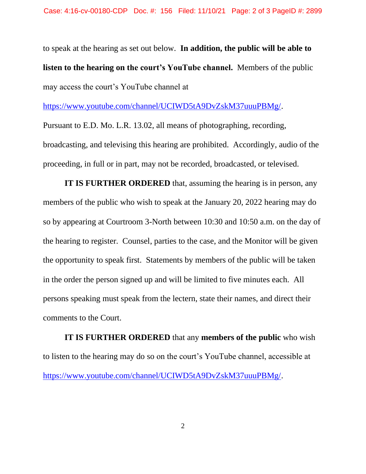to speak at the hearing as set out below. **In addition, the public will be able to listen to the hearing on the court's YouTube channel.** Members of the public may access the court's YouTube channel at

[https://www.youtube.com/channel/UCIWD5tA9DvZskM37uuuPBMg/.](https://www.youtube.com/channel/UCIWD5tA9DvZskM37uuuPBMg/)

Pursuant to E.D. Mo. L.R. 13.02, all means of photographing, recording, broadcasting, and televising this hearing are prohibited. Accordingly, audio of the proceeding, in full or in part, may not be recorded, broadcasted, or televised.

**IT IS FURTHER ORDERED** that, assuming the hearing is in person, any members of the public who wish to speak at the January 20, 2022 hearing may do so by appearing at Courtroom 3-North between 10:30 and 10:50 a.m. on the day of the hearing to register. Counsel, parties to the case, and the Monitor will be given the opportunity to speak first. Statements by members of the public will be taken in the order the person signed up and will be limited to five minutes each. All persons speaking must speak from the lectern, state their names, and direct their comments to the Court.

**IT IS FURTHER ORDERED** that any **members of the public** who wish to listen to the hearing may do so on the court's YouTube channel, accessible at [https://www.youtube.com/channel/UCIWD5tA9DvZskM37uuuPBMg/.](https://www.youtube.com/channel/UCIWD5tA9DvZskM37uuuPBMg/)